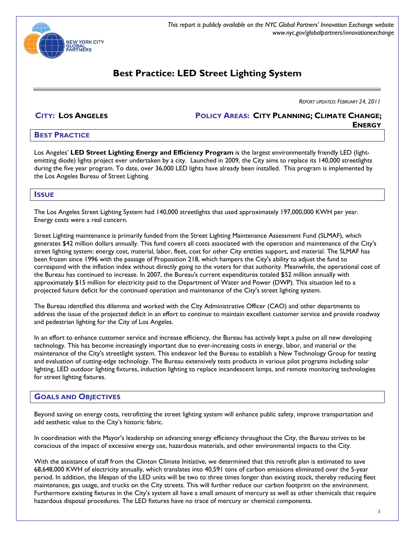

*This report is publicly available on the NYC Global Partners' Innovation Exchange website www.nyc.gov/globalpartners/innovationexchange*

# **Best Practice: LED Street Lighting System**

*REPORT UPDATED: FEBRUARY 24, 2011* 

**CITY: LOS ANGELES POLICY AREAS: CITY PLANNING; CLIMATE CHANGE; ENERGY**

# **BEST PRACTICE**

Los Angeles' **LED Street Lighting Energy and Efficiency Program** is the largest environmentally friendly LED (lightemitting diode) lights project ever undertaken by a city. Launched in 2009, the City aims to replace its 140,000 streetlights during the five year program. To date, over 36,000 LED lights have already been installed. This program is implemented by the Los Angeles Bureau of Street Lighting.

## **ISSUE**

The Los Angeles Street Lighting System had 140,000 streetlights that used approximately 197,000,000 KWH per year. Energy costs were a real concern.

Street Lighting maintenance is primarily funded from the Street Lighting Maintenance Assessment Fund (SLMAF), which generates \$42 million dollars annually. This fund covers all costs associated with the operation and maintenance of the City's street lighting system: energy cost, material, labor, fleet, cost for other City entities support, and material. The SLMAF has been frozen since 1996 with the passage of Proposition 218, which hampers the City's ability to adjust the fund to correspond with the inflation index without directly going to the voters for that authority. Meanwhile, the operational cost of the Bureau has continued to increase. In 2007, the Bureau's current expenditures totaled \$52 million annually with approximately \$15 million for electricity paid to the Department of Water and Power (DWP). This situation led to a projected future deficit for the continued operation and maintenance of the City's street lighting system.

The Bureau identified this dilemma and worked with the City Administrative Officer (CAO) and other departments to address the issue of the projected deficit in an effort to continue to maintain excellent customer service and provide roadway and pedestrian lighting for the City of Los Angeles.

In an effort to enhance customer service and increase efficiency, the Bureau has actively kept a pulse on all new developing technology. This has become increasingly important due to ever-increasing costs in energy, labor, and material or the maintenance of the City's streetlight system. This endeavor led the Bureau to establish a New Technology Group for testing and evaluation of cutting-edge technology. The Bureau extensively tests products in various pilot programs including solar lighting, LED outdoor lighting fixtures, induction lighting to replace incandescent lamps, and remote monitoring technologies for street lighting fixtures.

# **GOALS AND OBJECTIVES**

Beyond saving on energy costs, retrofitting the street lighting system will enhance public safety, improve transportation and add aesthetic value to the City's historic fabric.

In coordination with the Mayor's leadership on advancing energy efficiency throughout the City, the Bureau strives to be conscious of the impact of excessive energy use, hazardous materials, and other environmental impacts to the City.

With the assistance of staff from the Clinton Climate Initiative, we determined that this retrofit plan is estimated to save 68,648,000 KWH of electricity annually, which translates into 40,591 tons of carbon emissions eliminated over the 5-year period. In addition, the lifespan of the LED units will be two to three times longer than existing stock, thereby reducing fleet maintenance, gas usage, and trucks on the City streets. This will further reduce our carbon footprint on the environment. Furthermore existing fixtures in the City's system all have a small amount of mercury as well as other chemicals that require hazardous disposal procedures. The LED fixtures have no trace of mercury or chemical components.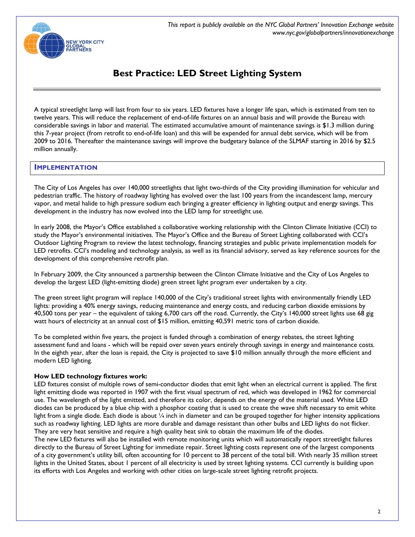

A typical streetlight lamp will last from four to six years. LED fixtures have a longer life span, which is estimated from ten to twelve years. This will reduce the replacement of end-of-life fixtures on an annual basis and will provide the Bureau with considerable savings in labor and material. The estimated accumulative amount of maintenance savings is \$1.3 million during this 7-year project (from retrofit to end-of-life loan) and this will be expended for annual debt service, which will be from 2009 to 2016. Thereafter the maintenance savings will improve the budgetary balance of the SLMAF starting in 2016 by \$2.5 million annually.

# **IMPLEMENTATION**

The City of Los Angeles has over 140,000 streetlights that light two-thirds of the City providing illumination for vehicular and pedestrian traffic. The history of roadway lighting has evolved over the last 100 years from the incandescent lamp, mercury vapor, and metal halide to high pressure sodium each bringing a greater efficiency in lighting output and energy savings. This development in the industry has now evolved into the LED lamp for streetlight use.

In early 2008, the Mayor's Office established a collaborative working relationship with the Clinton Climate Initiative (CCI) to study the Mayor's environmental initiatives. The Mayor's Office and the Bureau of Street Lighting collaborated with CCI's Outdoor Lighting Program to review the latest technology, financing strategies and public private implementation models for LED retrofits. CCI's modeling and technology analysis, as well as its financial advisory, served as key reference sources for the development of this comprehensive retrofit plan.

In February 2009, the City announced a partnership between the Clinton Climate Initiative and the City of Los Angeles to develop the largest LED (light-emitting diode) green street light program ever undertaken by a city.

The green street light program will replace 140,000 of the City's traditional street lights with environmentally friendly LED lights: providing a 40% energy savings, reducing maintenance and energy costs, and reducing carbon dioxide emissions by 40,500 tons per year – the equivalent of taking 6,700 cars off the road. Currently, the City's 140,000 street lights use 68 gig watt hours of electricity at an annual cost of \$15 million, emitting 40,591 metric tons of carbon dioxide.

To be completed within five years, the project is funded through a combination of energy rebates, the street lighting assessment fund and loans - which will be repaid over seven years entirely through savings in energy and maintenance costs. In the eighth year, after the loan is repaid, the City is projected to save \$10 million annually through the more efficient and modern LED lighting.

# **How LED technology fixtures work:**

LED fixtures consist of multiple rows of semi-conductor diodes that emit light when an electrical current is applied. The first light emitting diode was reported in 1907 with the first visual spectrum of red, which was developed in 1962 for commercial use. The wavelength of the light emitted, and therefore its color, depends on the energy of the material used. White LED diodes can be produced by a blue chip with a phosphor coating that is used to create the wave shift necessary to emit white light from a single diode. Each diode is about 1/4 inch in diameter and can be grouped together for higher intensity applications such as roadway lighting. LED lights are more durable and damage resistant than other bulbs and LED lights do not flicker. They are very heat sensitive and require a high quality heat sink to obtain the maximum life of the diodes.

The new LED fixtures will also be installed with remote monitoring units which will automatically report streetlight failures directly to the Bureau of Street Lighting for immediate repair. Street lighting costs represent one of the largest components of a city government's utility bill, often accounting for 10 percent to 38 percent of the total bill. With nearly 35 million street lights in the United States, about 1 percent of all electricity is used by street lighting systems. CCI currently is building upon its efforts with Los Angeles and working with other cities on large-scale street lighting retrofit projects.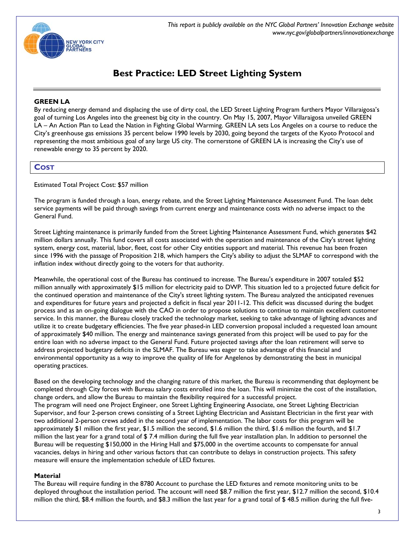

# **GREEN LA**

By reducing energy demand and displacing the use of dirty coal, the LED Street Lighting Program furthers Mayor Villaraigosa's goal of turning Los Angeles into the greenest big city in the country. On May 15, 2007, Mayor Villaraigosa unveiled GREEN LA – An Action Plan to Lead the Nation in Fighting Global Warming. GREEN LA sets Los Angeles on a course to reduce the City's greenhouse gas emissions 35 percent below 1990 levels by 2030, going beyond the targets of the Kyoto Protocol and representing the most ambitious goal of any large US city. The cornerstone of GREEN LA is increasing the City's use of renewable energy to 35 percent by 2020.

# **COST**

Estimated Total Project Cost: \$57 million

The program is funded through a loan, energy rebate, and the Street Lighting Maintenance Assessment Fund. The loan debt service payments will be paid through savings from current energy and maintenance costs with no adverse impact to the General Fund.

Street Lighting maintenance is primarily funded from the Street Lighting Maintenance Assessment Fund, which generates \$42 million dollars annually. This fund covers all costs associated with the operation and maintenance of the City's street lighting system, energy cost, material, labor, fleet, cost for other City entities support and material. This revenue has been frozen since 1996 with the passage of Proposition 218, which hampers the City's ability to adjust the SLMAF to correspond with the inflation index without directly going to the voters for that authority.

Meanwhile, the operational cost of the Bureau has continued to increase. The Bureau's expenditure in 2007 totaled \$52 million annually with approximately \$15 million for electricity paid to DWP. This situation led to a projected future deficit for the continued operation and maintenance of the City's street lighting system. The Bureau analyzed the anticipated revenues and expenditures for future years and projected a deficit in fiscal year 2011-12. This deficit was discussed during the budget process and as an on-going dialogue with the CAO in order to propose solutions to continue to maintain excellent customer service. In this manner, the Bureau closely tracked the technology market, seeking to take advantage of lighting advances and utilize it to create budgetary efficiencies. The five year phased-in LED conversion proposal included a requested loan amount of approximately \$40 million. The energy and maintenance savings generated from this project will be used to pay for the entire loan with no adverse impact to the General Fund. Future projected savings after the loan retirement will serve to address projected budgetary deficits in the SLMAF. The Bureau was eager to take advantage of this financial and environmental opportunity as a way to improve the quality of life for Angelenos by demonstrating the best in municipal operating practices.

Based on the developing technology and the changing nature of this market, the Bureau is recommending that deployment be completed through City forces with Bureau salary costs enrolled into the loan. This will minimize the cost of the installation, change orders, and allow the Bureau to maintain the flexibility required for a successful project. The program will need one Project Engineer, one Street Lighting Engineering Associate, one Street Lighting Electrician Supervisor, and four 2-person crews consisting of a Street Lighting Electrician and Assistant Electrician in the first year with two additional 2-person crews added in the second year of implementation. The labor costs for this program will be approximately \$1 million the first year, \$1.5 million the second, \$1.6 million the third, \$1.6 million the fourth, and \$1.7 million the last year for a grand total of \$ 7.4 million during the full five year installation plan. In addition to personnel the Bureau will be requesting \$150,000 in the Hiring Hall and \$75,000 in the overtime accounts to compensate for annual vacancies, delays in hiring and other various factors that can contribute to delays in construction projects. This safety measure will ensure the implementation schedule of LED fixtures.

# **Material**

The Bureau will require funding in the 8780 Account to purchase the LED fixtures and remote monitoring units to be deployed throughout the installation period. The account will need \$8.7 million the first year, \$12.7 million the second, \$10.4 million the third, \$8.4 million the fourth, and \$8.3 million the last year for a grand total of \$ 48.5 million during the full five-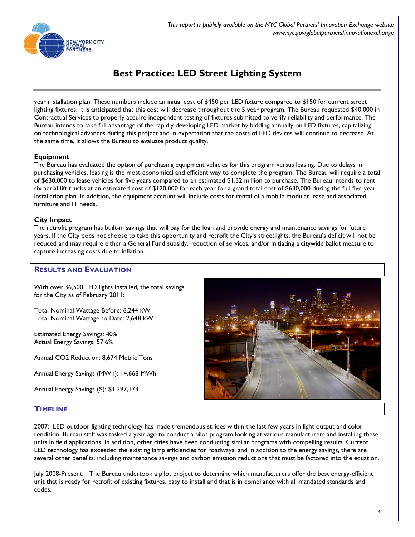

year installation plan. These numbers include an initial cost of \$450 per LED fixture compared to \$150 for current street lighting fixtures. It is anticipated that this cost will decrease throughout the 5 year program. The Bureau requested \$40,000 in Contractual Services to properly acquire independent testing of fixtures submitted to verify reliability and performance. The Bureau intends to take full advantage of the rapidly developing LED market by bidding annually on LED fixtures, capitalizing on technological advances during this project and in expectation that the costs of LED devices will continue to decrease. At the same time, it allows the Bureau to evaluate product quality.

## **Equipment**

The Bureau has evaluated the option of purchasing equipment vehicles for this program versus leasing. Due to delays in purchasing vehicles, leasing is the most economical and efficient way to complete the program. The Bureau will require a total of \$630,000 to lease vehicles for five years compared to an estimated \$1.32 million to purchase. The Bureau intends to rent six aerial lift trucks at an estimated cost of \$120,000 for each year for a grand total cost of \$630,000 during the full five-year installation plan. In addition, the equipment account will include costs for rental of a mobile modular lease and associated furniture and IT needs.

## **City Impact**

The retrofit program has built-in savings that will pay for the loan and provide energy and maintenance savings for future years. If the City does not choose to take this opportunity and retrofit the City's streetlights, the Bureau's deficit will not be reduced and may require either a General Fund subsidy, reduction of services, and/or initiating a citywide ballot measure to capture increasing costs due to inflation.

# **RESULTS AND EVALUATION**

With over 36,500 LED lights installed, the total savings for the City as of February 2011:

Total Nominal Wattage Before: 6,244 kW Total Nominal Wattage to Date: 2,648 kW

Estimated Energy Savings: 40% Actual Energy Savings: 57.6%

Annual CO2 Reduction: 8,674 Metric Tons

Annual Energy Savings (MWh): 14,668 MWh

Annual Energy Savings (\$): \$1,297,173



# **TIMELINE**

2007: LED outdoor lighting technology has made tremendous strides within the last few years in light output and color rendition. Bureau staff was tasked a year ago to conduct a pilot program looking at various manufacturers and installing these units in field applications. In addition, other cities have been conducting similar programs with compelling results. Current LED technology has exceeded the existing lamp efficiencies for roadways, and in addition to the energy savings, there are several other benefits, including maintenance savings and carbon emission reductions that must be factored into the equation.

July 2008-Present: The Bureau undertook a pilot project to determine which manufacturers offer the best energy-efficient unit that is ready for retrofit of existing fixtures, easy to install and that is in compliance with all mandated standards and codes.